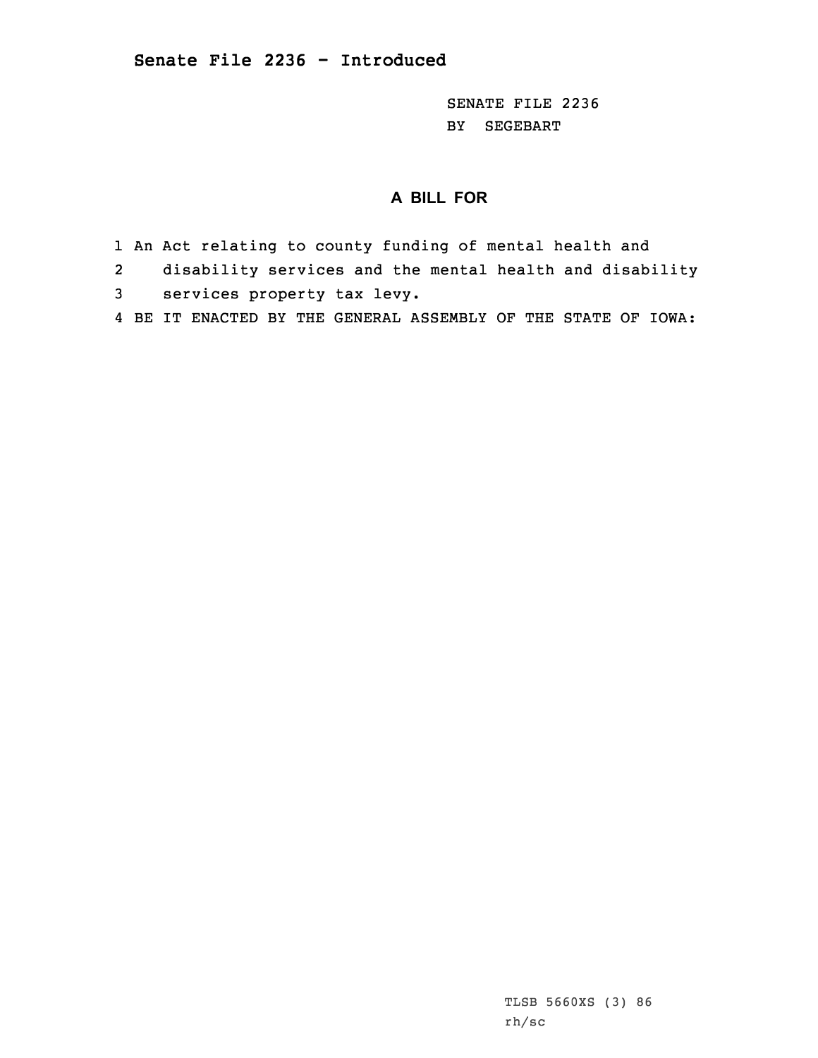SENATE FILE 2236 BY SEGEBART

## **A BILL FOR**

- 1 An Act relating to county funding of mental health and
- 2disability services and the mental health and disability
- 3 services property tax levy.
- 4 BE IT ENACTED BY THE GENERAL ASSEMBLY OF THE STATE OF IOWA: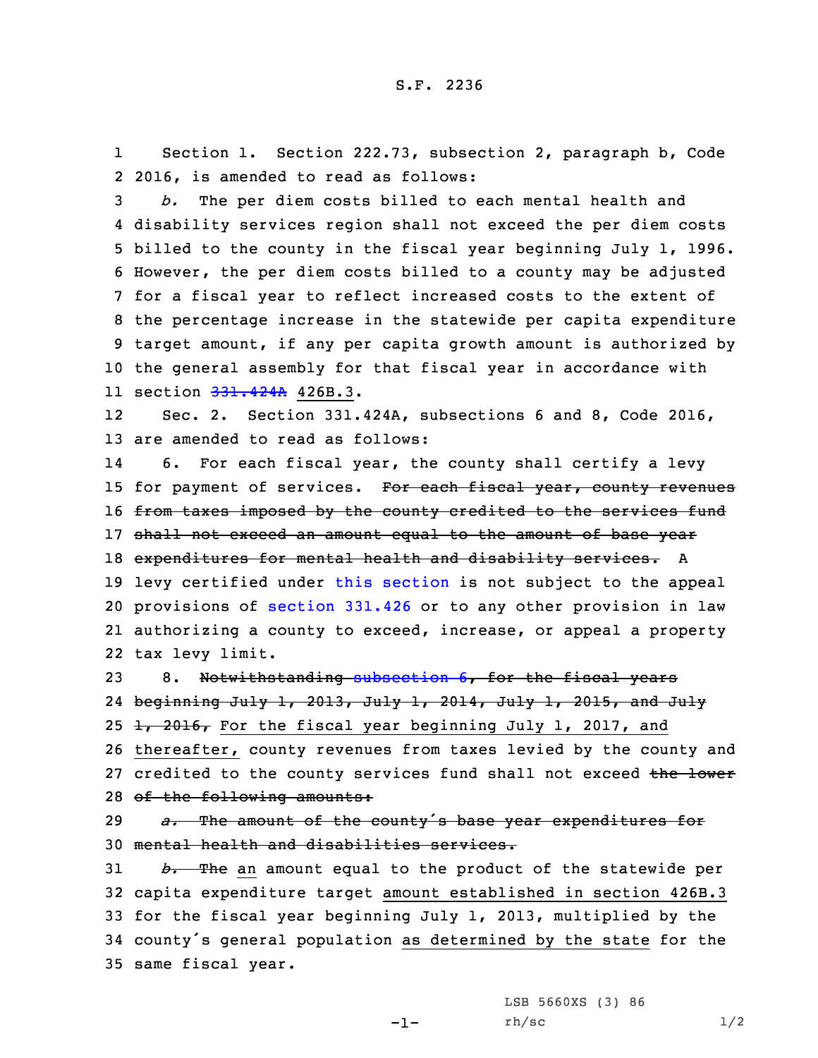1 Section 1. Section 222.73, subsection 2, paragraph b, Code 2 2016, is amended to read as follows:

 *b.* The per diem costs billed to each mental health and disability services region shall not exceed the per diem costs billed to the county in the fiscal year beginning July 1, 1996. However, the per diem costs billed to <sup>a</sup> county may be adjusted for <sup>a</sup> fiscal year to reflect increased costs to the extent of the percentage increase in the statewide per capita expenditure target amount, if any per capita growth amount is authorized by the general assembly for that fiscal year in accordance with 11 section <del>[331.424A](https://www.legis.iowa.gov/docs/code/2016/331.424A.pdf)</del> 426B.3.

12 Sec. 2. Section 331.424A, subsections 6 and 8, Code 2016, 13 are amended to read as follows:

14 6. For each fiscal year, the county shall certify <sup>a</sup> levy 15 for payment of services. For each fiscal year, county revenues 16 from taxes imposed by the county credited to the services fund 17 shall not exceed an amount equal to the amount of base year 18 expenditures for mental health and disability services. A 19 levy certified under this [section](https://www.legis.iowa.gov/docs/code/2016/331.424A.pdf) is not subject to the appeal 20 provisions of [section](https://www.legis.iowa.gov/docs/code/2016/331.426.pdf) 331.426 or to any other provision in law 21 authorizing <sup>a</sup> county to exceed, increase, or appeal <sup>a</sup> property 22 tax levy limit.

23 8. Notwithstanding [subsection](https://www.legis.iowa.gov/docs/code/2016/331.424A.pdf) 6, for the fiscal years 24 beginning July 1, 2013, July 1, 2014, July 1, 2015, and July 25  $\frac{1}{2016}$ , For the fiscal year beginning July 1, 2017, and 26 thereafter, county revenues from taxes levied by the county and 27 credited to the county services fund shall not exceed the lower

28 of the following amounts:

<sup>29</sup> *a.* The amount of the county's base year expenditures for 30 mental health and disabilities services.

 *b.* The an amount equal to the product of the statewide per capita expenditure target amount established in section 426B.3 for the fiscal year beginning July 1, 2013, multiplied by the county's general population as determined by the state for the same fiscal year.

-1-

LSB 5660XS (3) 86  $rh/sc$   $1/2$